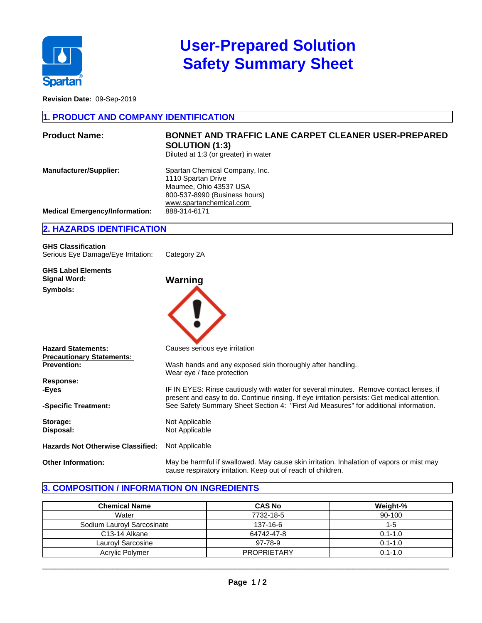

# **User-Prepared Solution Safety Summary Sheet**

**Revision Date:** 09-Sep-2019

#### **1. PRODUCT AND COMPANY IDENTIFICATION**

| <b>Product Name:</b>                  | <b>BONNET AND TRAFFIC LANE CARPET CLEANER USER-PREPARED</b><br><b>SOLUTION (1:3)</b><br>Diluted at 1:3 (or greater) in water               |
|---------------------------------------|--------------------------------------------------------------------------------------------------------------------------------------------|
| <b>Manufacturer/Supplier:</b>         | Spartan Chemical Company, Inc.<br>1110 Spartan Drive<br>Maumee, Ohio 43537 USA<br>800-537-8990 (Business hours)<br>www.spartanchemical.com |
| <b>Medical Emergency/Information:</b> | 888-314-6171                                                                                                                               |
|                                       |                                                                                                                                            |

#### **2. HAZARDS IDENTIFICATION**

| <b>GHS Classification</b><br>Serious Eye Damage/Eye Irritation: | Category 2A |  |
|-----------------------------------------------------------------|-------------|--|
| <b>GHS Label Elements</b><br>Signal Word:                       | Warning     |  |
| Symbols:                                                        |             |  |

| <b>Hazard Statements:</b>                | Causes serious eye irritation                                                                                                                                                          |
|------------------------------------------|----------------------------------------------------------------------------------------------------------------------------------------------------------------------------------------|
| <b>Precautionary Statements:</b>         |                                                                                                                                                                                        |
| <b>Prevention:</b>                       | Wash hands and any exposed skin thoroughly after handling.<br>Wear eye / face protection                                                                                               |
| Response:                                |                                                                                                                                                                                        |
| -Eves                                    | IF IN EYES: Rinse cautiously with water for several minutes. Remove contact lenses, if<br>present and easy to do. Continue rinsing. If eye irritation persists: Get medical attention. |
| -Specific Treatment:                     | See Safety Summary Sheet Section 4: "First Aid Measures" for additional information.                                                                                                   |
| Storage:                                 | Not Applicable                                                                                                                                                                         |
| Disposal:                                | Not Applicable                                                                                                                                                                         |
| <b>Hazards Not Otherwise Classified:</b> | Not Applicable                                                                                                                                                                         |
| <b>Other Information:</b>                | May be harmful if swallowed. May cause skin irritation. Inhalation of vapors or mist may<br>cause respiratory irritation. Keep out of reach of children.                               |

#### **3. COMPOSITION / INFORMATION ON INGREDIENTS**

| <b>Chemical Name</b>       | <b>CAS No</b>      | Weight-%    |
|----------------------------|--------------------|-------------|
| Water                      | 7732-18-5          | 90-100      |
| Sodium Lauroyl Sarcosinate | 137-16-6           | 1-5         |
| C <sub>13</sub> -14 Alkane | 64742-47-8         | $0.1 - 1.0$ |
| Lauroyl Sarcosine          | 97-78-9            | $0.1 - 1.0$ |
| Acrylic Polymer            | <b>PROPRIETARY</b> | $0.1 - 1.0$ |

 $\_$  ,  $\_$  ,  $\_$  ,  $\_$  ,  $\_$  ,  $\_$  ,  $\_$  ,  $\_$  ,  $\_$  ,  $\_$  ,  $\_$  ,  $\_$  ,  $\_$  ,  $\_$  ,  $\_$  ,  $\_$  ,  $\_$  ,  $\_$  ,  $\_$  ,  $\_$  ,  $\_$  ,  $\_$  ,  $\_$  ,  $\_$  ,  $\_$  ,  $\_$  ,  $\_$  ,  $\_$  ,  $\_$  ,  $\_$  ,  $\_$  ,  $\_$  ,  $\_$  ,  $\_$  ,  $\_$  ,  $\_$  ,  $\_$  ,